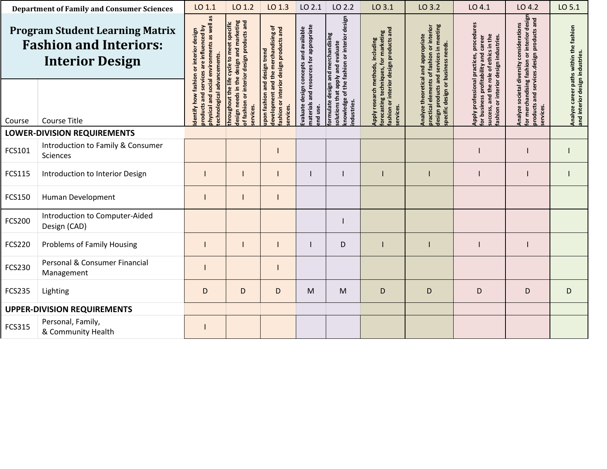| <b>Department of Family and Consumer Sciences</b>                                                 |                                                | LO 1.1                                                                                                                                                                                                                                               | LO 1.2                                                                         | LO 1.3                                                                            | LO 2.1                                                                                          | LO 2.2                                                                         | LO 3.1                                                                                           | LO 3.2                                                                                | LO 4.1                                                                                           | LO 4.2                                                                     | LO 5.1 |
|---------------------------------------------------------------------------------------------------|------------------------------------------------|------------------------------------------------------------------------------------------------------------------------------------------------------------------------------------------------------------------------------------------------------|--------------------------------------------------------------------------------|-----------------------------------------------------------------------------------|-------------------------------------------------------------------------------------------------|--------------------------------------------------------------------------------|--------------------------------------------------------------------------------------------------|---------------------------------------------------------------------------------------|--------------------------------------------------------------------------------------------------|----------------------------------------------------------------------------|--------|
| <b>Program Student Learning Matrix</b><br><b>Fashion and Interiors:</b><br><b>Interior Design</b> |                                                | ohysical and social environments as well as<br>design needs in the design and marketing<br>of fashion or interior design products and<br>throughout the life cycle to meet specific<br>products and services are influenced by<br>or interior design | development and the merchandising of<br>ashion or interior design products and | materials and resources for appropriate<br>Evaluate design concepts and available | nowledge of the fashion or interior design<br>ormulate design and merchandising<br>and evaluate | ashion or interior design products and<br>orecasting techniques, for marketing | design products and services in meeting<br>elements of fashion or interior<br>appropriate<br>and | procedures<br>the role of ethics in the<br>design industries.<br>career<br>practices, | or merchandising fashion or interior design<br>products and<br>societal diversity considerations | Analyze career paths within the fashion<br>and interior design industries. |        |
| Course                                                                                            | <b>Course Title</b>                            | echnological advancements.<br>dentify how                                                                                                                                                                                                            | ervices.                                                                       | upon fashion and design trend<br>ervices.                                         | end use.                                                                                        | olutions that apply<br>ndustries                                               | Apply research methods, including<br>services.                                                   | pecific design or business needs.<br>Analyze theoretical<br><b>practical</b>          | for business profitability and<br>Apply professional<br>or interior<br>success, and<br>fashion   | oroducts and services.design<br>ervices.<br>Analyze                        |        |
| <b>LOWER-DIVISION REQUIREMENTS</b>                                                                |                                                |                                                                                                                                                                                                                                                      |                                                                                |                                                                                   |                                                                                                 |                                                                                |                                                                                                  |                                                                                       |                                                                                                  |                                                                            |        |
| FCS101                                                                                            | Introduction to Family & Consumer<br>Sciences  |                                                                                                                                                                                                                                                      |                                                                                |                                                                                   |                                                                                                 |                                                                                |                                                                                                  |                                                                                       |                                                                                                  |                                                                            |        |
| FCS115                                                                                            | Introduction to Interior Design                |                                                                                                                                                                                                                                                      |                                                                                |                                                                                   |                                                                                                 |                                                                                |                                                                                                  |                                                                                       |                                                                                                  |                                                                            |        |
| FCS150                                                                                            | Human Development                              |                                                                                                                                                                                                                                                      |                                                                                |                                                                                   |                                                                                                 |                                                                                |                                                                                                  |                                                                                       |                                                                                                  |                                                                            |        |
| <b>FCS200</b>                                                                                     | Introduction to Computer-Aided<br>Design (CAD) |                                                                                                                                                                                                                                                      |                                                                                |                                                                                   |                                                                                                 |                                                                                |                                                                                                  |                                                                                       |                                                                                                  |                                                                            |        |
| <b>FCS220</b>                                                                                     | <b>Problems of Family Housing</b>              |                                                                                                                                                                                                                                                      |                                                                                |                                                                                   |                                                                                                 | D                                                                              |                                                                                                  |                                                                                       |                                                                                                  |                                                                            |        |
| <b>FCS230</b>                                                                                     | Personal & Consumer Financial<br>Management    |                                                                                                                                                                                                                                                      |                                                                                |                                                                                   |                                                                                                 |                                                                                |                                                                                                  |                                                                                       |                                                                                                  |                                                                            |        |
| <b>FCS235</b>                                                                                     | Lighting                                       | D                                                                                                                                                                                                                                                    | D                                                                              | D                                                                                 | M                                                                                               | M                                                                              | D                                                                                                | D                                                                                     | D                                                                                                | D                                                                          | D      |
| <b>UPPER-DIVISION REQUIREMENTS</b>                                                                |                                                |                                                                                                                                                                                                                                                      |                                                                                |                                                                                   |                                                                                                 |                                                                                |                                                                                                  |                                                                                       |                                                                                                  |                                                                            |        |
| FCS315                                                                                            | Personal, Family,<br>& Community Health        |                                                                                                                                                                                                                                                      |                                                                                |                                                                                   |                                                                                                 |                                                                                |                                                                                                  |                                                                                       |                                                                                                  |                                                                            |        |